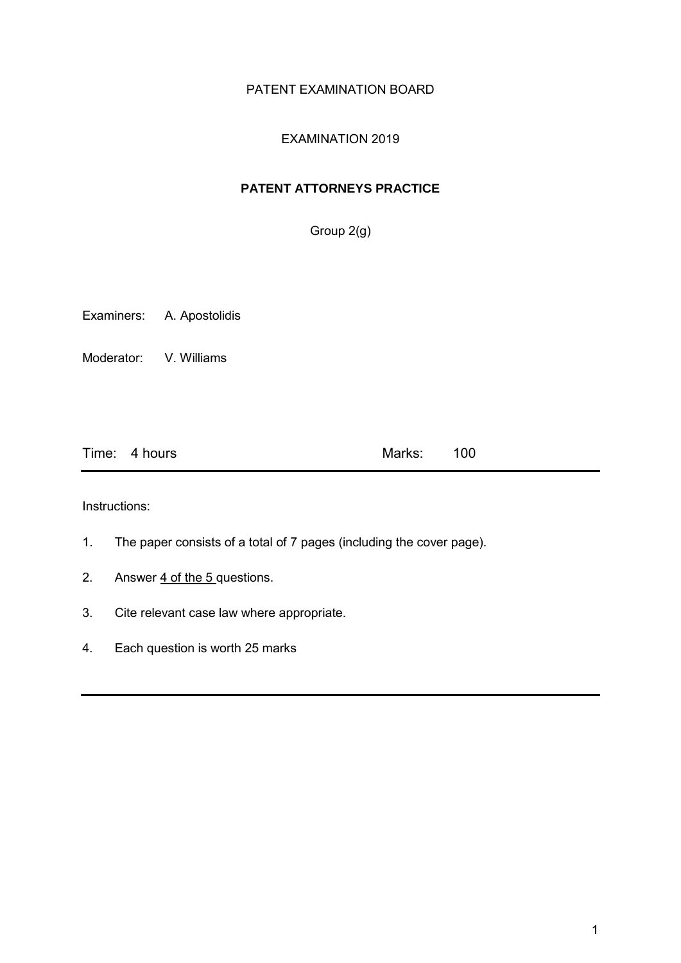## PATENT EXAMINATION BOARD

# EXAMINATION 2019

# **PATENT ATTORNEYS PRACTICE**

Group 2(g)

Examiners: A. Apostolidis

Moderator: V. Williams

| Time: 4 hours | Marks: 100 |  |
|---------------|------------|--|
|               |            |  |

Instructions:

- 1. The paper consists of a total of 7 pages (including the cover page).
- 2. Answer  $\frac{4 \text{ of the 5} }{2 \text{ questions}}$
- 3. Cite relevant case law where appropriate.
- 4. Each question is worth 25 marks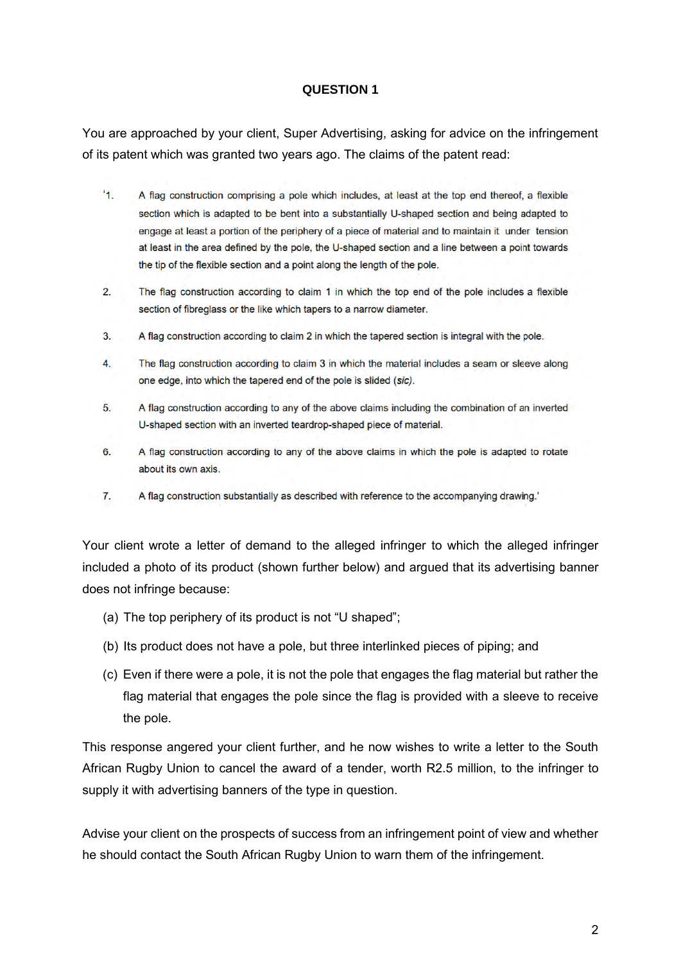You are approached by your client, Super Advertising, asking for advice on the infringement of its patent which was granted two years ago. The claims of the patent read:

- $4<sup>1</sup>$ A flag construction comprising a pole which includes, at least at the top end thereof, a flexible section which is adapted to be bent into a substantially U-shaped section and being adapted to engage at least a portion of the periphery of a piece of material and to maintain it under tension at least in the area defined by the pole, the U-shaped section and a line between a point towards the tip of the flexible section and a point along the length of the pole.
- $2.$ The flag construction according to claim 1 in which the top end of the pole includes a flexible section of fibreglass or the like which tapers to a narrow diameter.
- $3<sub>1</sub>$ A flag construction according to claim 2 in which the tapered section is integral with the pole.
- $\overline{4}$ The flag construction according to claim 3 in which the material includes a seam or sleeve along one edge, into which the tapered end of the pole is slided (sic).
- 5. A flag construction according to any of the above claims including the combination of an inverted U-shaped section with an inverted teardrop-shaped piece of material.
- 6. A flag construction according to any of the above claims in which the pole is adapted to rotate about its own axis.
- $7.$ A flag construction substantially as described with reference to the accompanying drawing.'

Your client wrote a letter of demand to the alleged infringer to which the alleged infringer included a photo of its product (shown further below) and argued that its advertising banner does not infringe because:

- (a) The top periphery of its product is not "U shaped";
- (b) Its product does not have a pole, but three interlinked pieces of piping; and
- (c) Even if there were a pole, it is not the pole that engages the flag material but rather the flag material that engages the pole since the flag is provided with a sleeve to receive the pole.

This response angered your client further, and he now wishes to write a letter to the South African Rugby Union to cancel the award of a tender, worth R2.5 million, to the infringer to supply it with advertising banners of the type in question.

Advise your client on the prospects of success from an infringement point of view and whether he should contact the South African Rugby Union to warn them of the infringement.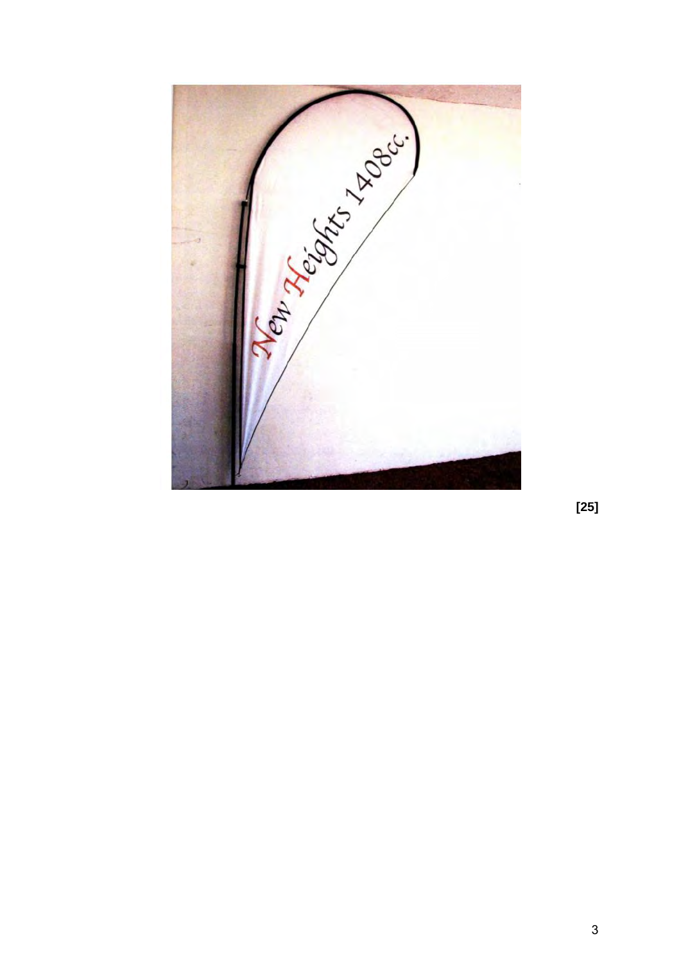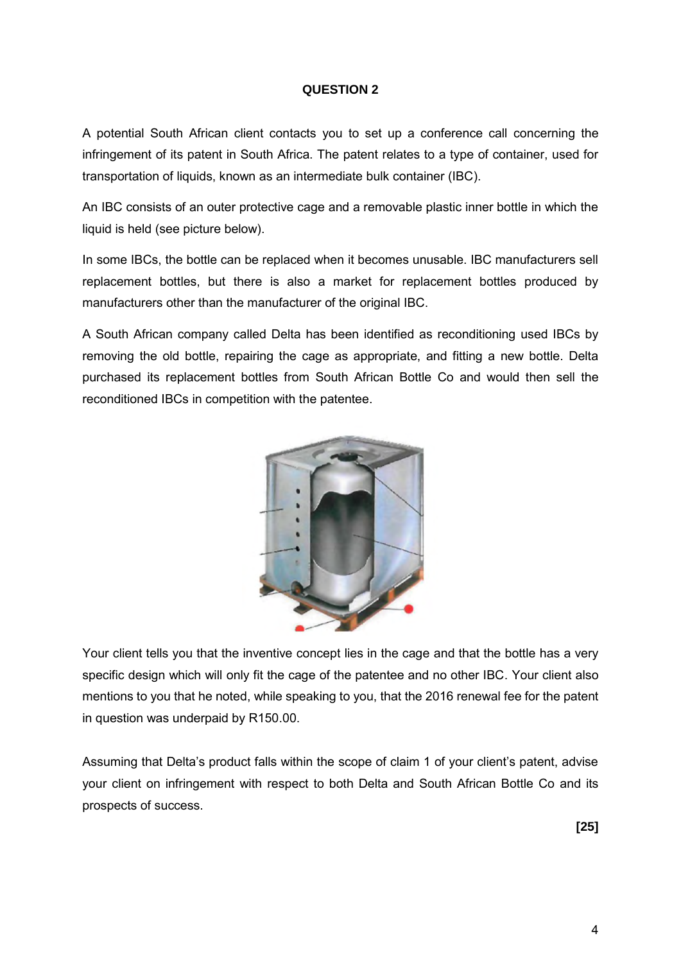A potential South African client contacts you to set up a conference call concerning the infringement of its patent in South Africa. The patent relates to a type of container, used for transportation of liquids, known as an intermediate bulk container (IBC).

An IBC consists of an outer protective cage and a removable plastic inner bottle in which the liquid is held (see picture below).

In some IBCs, the bottle can be replaced when it becomes unusable. IBC manufacturers sell replacement bottles, but there is also a market for replacement bottles produced by manufacturers other than the manufacturer of the original IBC.

A South African company called Delta has been identified as reconditioning used IBCs by removing the old bottle, repairing the cage as appropriate, and fitting a new bottle. Delta purchased its replacement bottles from South African Bottle Co and would then sell the reconditioned IBCs in competition with the patentee.



Your client tells you that the inventive concept lies in the cage and that the bottle has a very specific design which will only fit the cage of the patentee and no other IBC. Your client also mentions to you that he noted, while speaking to you, that the 2016 renewal fee for the patent in question was underpaid by R150.00.

Assuming that Delta's product falls within the scope of claim 1 of your client's patent, advise your client on infringement with respect to both Delta and South African Bottle Co and its prospects of success.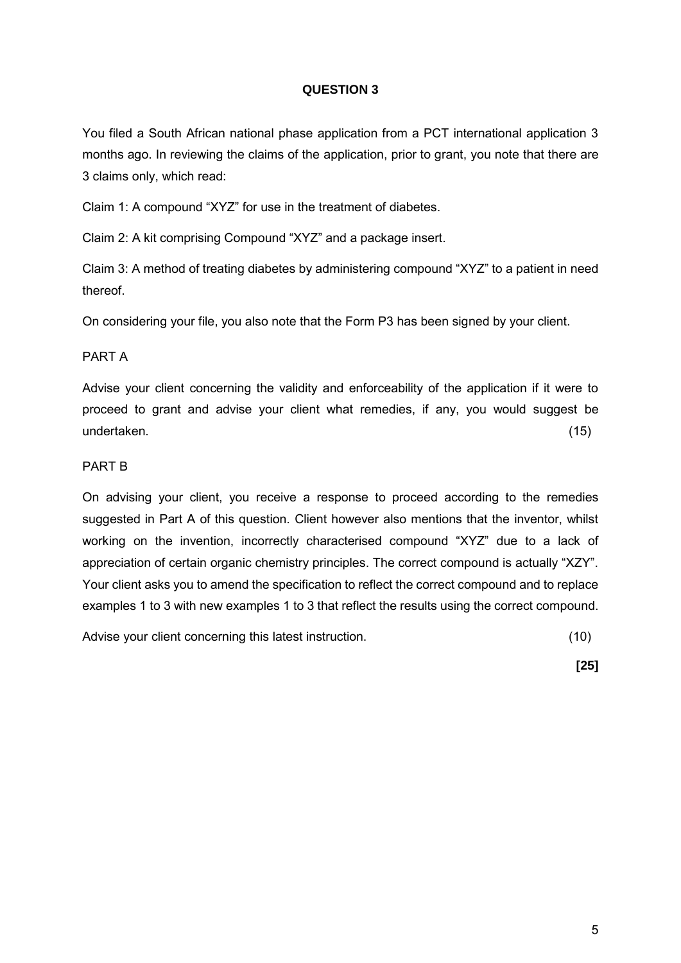You filed a South African national phase application from a PCT international application 3 months ago. In reviewing the claims of the application, prior to grant, you note that there are 3 claims only, which read:

Claim 1: A compound "XYZ" for use in the treatment of diabetes.

Claim 2: A kit comprising Compound "XYZ" and a package insert.

Claim 3: A method of treating diabetes by administering compound "XYZ" to a patient in need thereof.

On considering your file, you also note that the Form P3 has been signed by your client.

#### PART A

Advise your client concerning the validity and enforceability of the application if it were to proceed to grant and advise your client what remedies, if any, you would suggest be undertaken. (15)

#### PART B

On advising your client, you receive a response to proceed according to the remedies suggested in Part A of this question. Client however also mentions that the inventor, whilst working on the invention, incorrectly characterised compound "XYZ" due to a lack of appreciation of certain organic chemistry principles. The correct compound is actually "XZY". Your client asks you to amend the specification to reflect the correct compound and to replace examples 1 to 3 with new examples 1 to 3 that reflect the results using the correct compound.

Advise your client concerning this latest instruction. (10)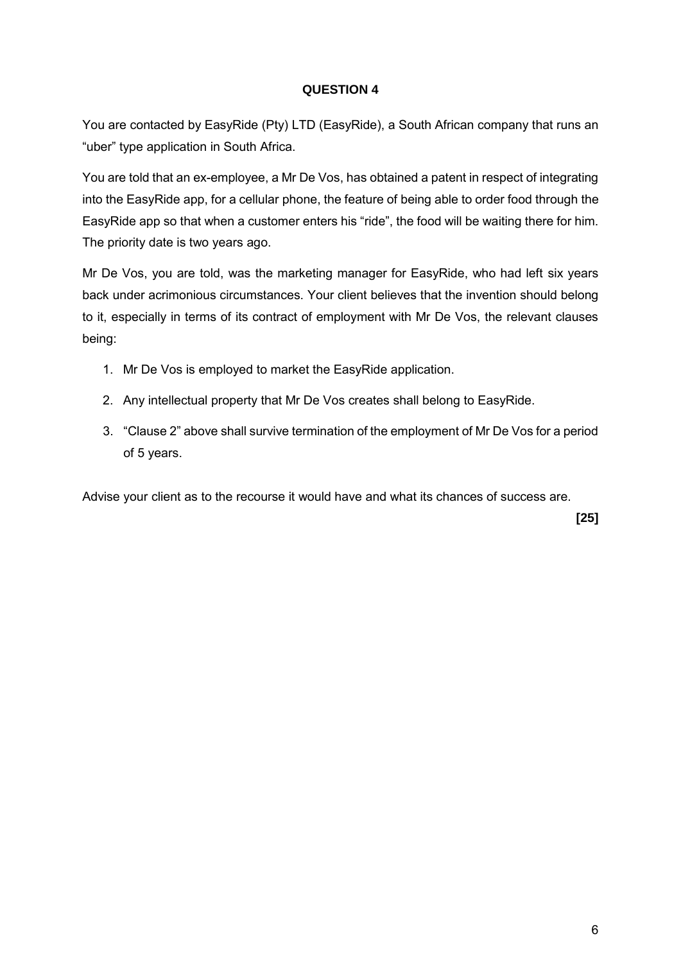You are contacted by EasyRide (Pty) LTD (EasyRide), a South African company that runs an "uber" type application in South Africa.

You are told that an ex-employee, a Mr De Vos, has obtained a patent in respect of integrating into the EasyRide app, for a cellular phone, the feature of being able to order food through the EasyRide app so that when a customer enters his "ride", the food will be waiting there for him. The priority date is two years ago.

Mr De Vos, you are told, was the marketing manager for EasyRide, who had left six years back under acrimonious circumstances. Your client believes that the invention should belong to it, especially in terms of its contract of employment with Mr De Vos, the relevant clauses being:

- 1. Mr De Vos is employed to market the EasyRide application.
- 2. Any intellectual property that Mr De Vos creates shall belong to EasyRide.
- 3. "Clause 2" above shall survive termination of the employment of Mr De Vos for a period of 5 years.

Advise your client as to the recourse it would have and what its chances of success are.